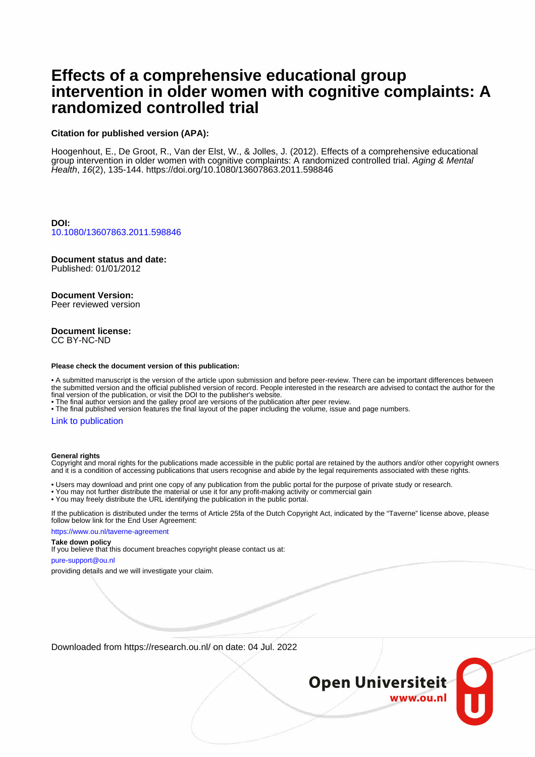# **Effects of a comprehensive educational group intervention in older women with cognitive complaints: A randomized controlled trial**

#### **Citation for published version (APA):**

Hoogenhout, E., De Groot, R., Van der Elst, W., & Jolles, J. (2012). Effects of a comprehensive educational group intervention in older women with cognitive complaints: A randomized controlled trial. Aging & Mental Health, 16(2), 135-144. <https://doi.org/10.1080/13607863.2011.598846>

**DOI:** [10.1080/13607863.2011.598846](https://doi.org/10.1080/13607863.2011.598846)

## **Document status and date:**

Published: 01/01/2012

## **Document Version:**

Peer reviewed version

#### **Document license:** CC BY-NC-ND

#### **Please check the document version of this publication:**

• A submitted manuscript is the version of the article upon submission and before peer-review. There can be important differences between the submitted version and the official published version of record. People interested in the research are advised to contact the author for the final version of the publication, or visit the DOI to the publisher's website.

• The final author version and the galley proof are versions of the publication after peer review.

• The final published version features the final layout of the paper including the volume, issue and page numbers.

#### [Link to publication](https://research.ou.nl/en/publications/4bcf4d3d-f230-403b-9f28-45932ce5110a)

#### **General rights**

Copyright and moral rights for the publications made accessible in the public portal are retained by the authors and/or other copyright owners and it is a condition of accessing publications that users recognise and abide by the legal requirements associated with these rights.

• Users may download and print one copy of any publication from the public portal for the purpose of private study or research.

- You may not further distribute the material or use it for any profit-making activity or commercial gain
- You may freely distribute the URL identifying the publication in the public portal.

If the publication is distributed under the terms of Article 25fa of the Dutch Copyright Act, indicated by the "Taverne" license above, please follow below link for the End User Agreement:

https://www.ou.nl/taverne-agreement

#### **Take down policy**

If you believe that this document breaches copyright please contact us at:

pure-support@ou.nl

providing details and we will investigate your claim.

Downloaded from https://research.ou.nl/ on date: 04 Jul. 2022

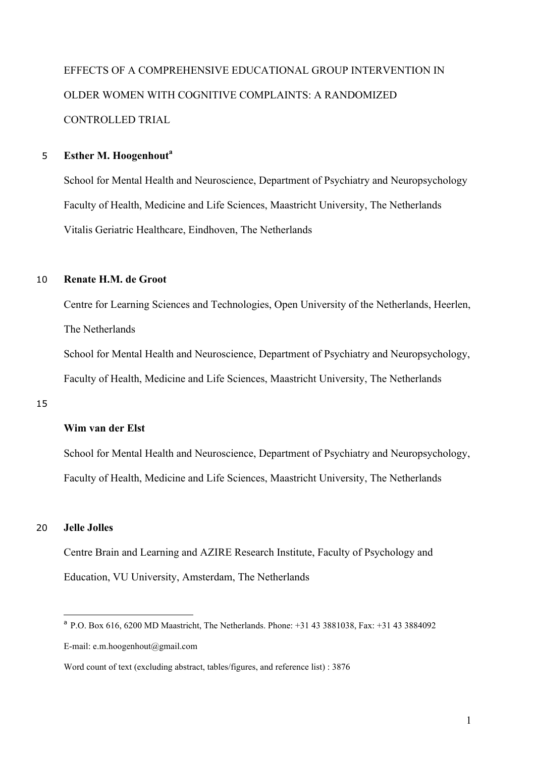EFFECTS OF A COMPREHENSIVE EDUCATIONAL GROUP INTERVENTION IN OLDER WOMEN WITH COGNITIVE COMPLAINTS: A RANDOMIZED CONTROLLED TRIAL

### **Esther M. Hoogenhout<sup>a</sup>** <sup>5</sup>

School for Mental Health and Neuroscience, Department of Psychiatry and Neuropsychology Faculty of Health, Medicine and Life Sciences, Maastricht University, The Netherlands Vitalis Geriatric Healthcare, Eindhoven, The Netherlands

#### 10 **Renate H.M. de Groot**

Centre for Learning Sciences and Technologies, Open University of the Netherlands, Heerlen, The Netherlands

School for Mental Health and Neuroscience, Department of Psychiatry and Neuropsychology, Faculty of Health, Medicine and Life Sciences, Maastricht University, The Netherlands

15

### **Wim van der Elst**

School for Mental Health and Neuroscience, Department of Psychiatry and Neuropsychology, Faculty of Health, Medicine and Life Sciences, Maastricht University, The Netherlands

### 20 **Jelle Jolles**

Centre Brain and Learning and AZIRE Research Institute, Faculty of Psychology and Education, VU University, Amsterdam, The Netherlands

a P.O. Box 616, 6200 MD Maastricht, The Netherlands. Phone: +31 43 3881038, Fax: +31 43 3884092 E-mail: e.m.hoogenhout@gmail.com

Word count of text (excluding abstract, tables/figures, and reference list) : 3876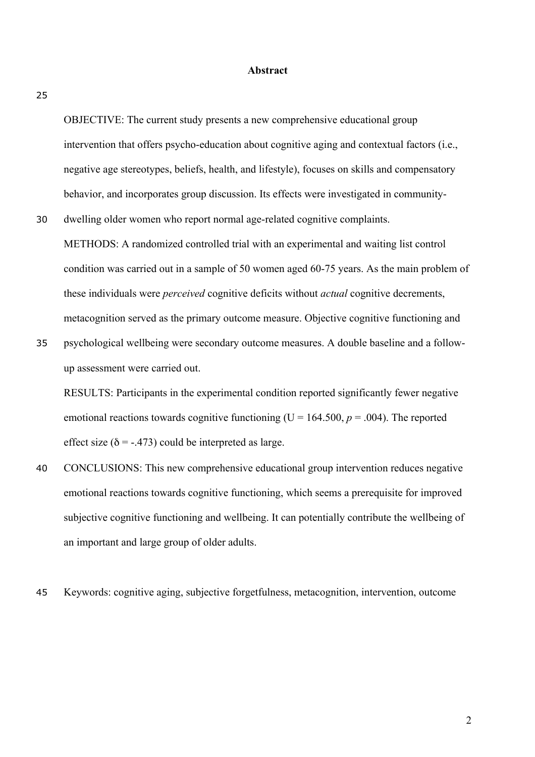#### **Abstract**

25

OBJECTIVE: The current study presents a new comprehensive educational group intervention that offers psycho-education about cognitive aging and contextual factors (i.e., negative age stereotypes, beliefs, health, and lifestyle), focuses on skills and compensatory behavior, and incorporates group discussion. Its effects were investigated in community-

- 30 dwelling older women who report normal age-related cognitive complaints. METHODS: A randomized controlled trial with an experimental and waiting list control condition was carried out in a sample of 50 women aged 60-75 years. As the main problem of these individuals were *perceived* cognitive deficits without *actual* cognitive decrements, metacognition served as the primary outcome measure. Objective cognitive functioning and
- 35 psychological wellbeing were secondary outcome measures. A double baseline and a followup assessment were carried out.

RESULTS: Participants in the experimental condition reported significantly fewer negative emotional reactions towards cognitive functioning ( $U = 164.500$ ,  $p = .004$ ). The reported effect size ( $\delta$  = -.473) could be interpreted as large.

- 40 CONCLUSIONS: This new comprehensive educational group intervention reduces negative emotional reactions towards cognitive functioning, which seems a prerequisite for improved subjective cognitive functioning and wellbeing. It can potentially contribute the wellbeing of an important and large group of older adults.
- 45 Keywords: cognitive aging, subjective forgetfulness, metacognition, intervention, outcome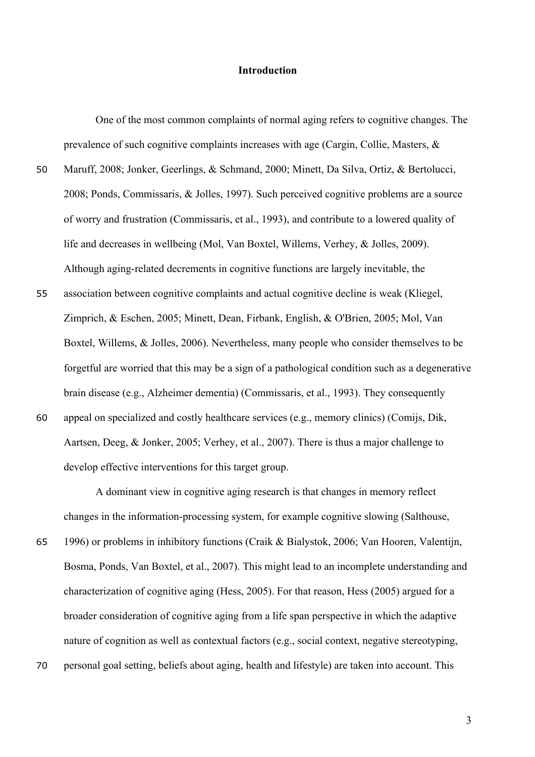### **Introduction**

One of the most common complaints of normal aging refers to cognitive changes. The prevalence of such cognitive complaints increases with age (Cargin, Collie, Masters, &

- 50 Maruff, 2008; Jonker, Geerlings, & Schmand, 2000; Minett, Da Silva, Ortiz, & Bertolucci, 2008; Ponds, Commissaris, & Jolles, 1997). Such perceived cognitive problems are a source of worry and frustration (Commissaris, et al., 1993), and contribute to a lowered quality of life and decreases in wellbeing (Mol, Van Boxtel, Willems, Verhey, & Jolles, 2009). Although aging-related decrements in cognitive functions are largely inevitable, the
- 55 association between cognitive complaints and actual cognitive decline is weak (Kliegel, Zimprich, & Eschen, 2005; Minett, Dean, Firbank, English, & O'Brien, 2005; Mol, Van Boxtel, Willems, & Jolles, 2006). Nevertheless, many people who consider themselves to be forgetful are worried that this may be a sign of a pathological condition such as a degenerative brain disease (e.g., Alzheimer dementia) (Commissaris, et al., 1993). They consequently 60 appeal on specialized and costly healthcare services (e.g., memory clinics) (Comijs, Dik,
- Aartsen, Deeg, & Jonker, 2005; Verhey, et al., 2007). There is thus a major challenge to develop effective interventions for this target group.

A dominant view in cognitive aging research is that changes in memory reflect changes in the information-processing system, for example cognitive slowing (Salthouse,

65 1996) or problems in inhibitory functions (Craik & Bialystok, 2006; Van Hooren, Valentijn, Bosma, Ponds, Van Boxtel, et al., 2007). This might lead to an incomplete understanding and characterization of cognitive aging (Hess, 2005). For that reason, Hess (2005) argued for a broader consideration of cognitive aging from a life span perspective in which the adaptive nature of cognition as well as contextual factors (e.g., social context, negative stereotyping, 70 personal goal setting, beliefs about aging, health and lifestyle) are taken into account. This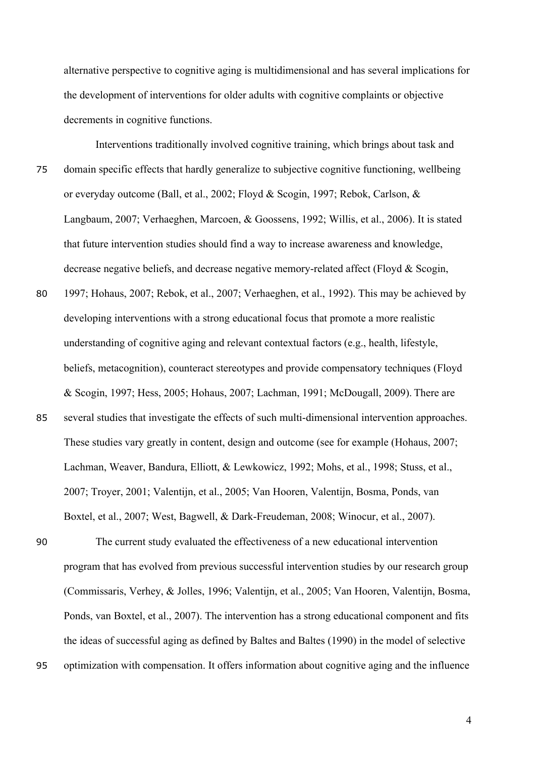alternative perspective to cognitive aging is multidimensional and has several implications for the development of interventions for older adults with cognitive complaints or objective decrements in cognitive functions.

Interventions traditionally involved cognitive training, which brings about task and 75 domain specific effects that hardly generalize to subjective cognitive functioning, wellbeing or everyday outcome (Ball, et al., 2002; Floyd & Scogin, 1997; Rebok, Carlson, & Langbaum, 2007; Verhaeghen, Marcoen, & Goossens, 1992; Willis, et al., 2006). It is stated that future intervention studies should find a way to increase awareness and knowledge, decrease negative beliefs, and decrease negative memory-related affect (Floyd & Scogin,

- 80 1997; Hohaus, 2007; Rebok, et al., 2007; Verhaeghen, et al., 1992). This may be achieved by developing interventions with a strong educational focus that promote a more realistic understanding of cognitive aging and relevant contextual factors (e.g., health, lifestyle, beliefs, metacognition), counteract stereotypes and provide compensatory techniques (Floyd & Scogin, 1997; Hess, 2005; Hohaus, 2007; Lachman, 1991; McDougall, 2009). There are
- 85 several studies that investigate the effects of such multi-dimensional intervention approaches. These studies vary greatly in content, design and outcome (see for example (Hohaus, 2007; Lachman, Weaver, Bandura, Elliott, & Lewkowicz, 1992; Mohs, et al., 1998; Stuss, et al., 2007; Troyer, 2001; Valentijn, et al., 2005; Van Hooren, Valentijn, Bosma, Ponds, van Boxtel, et al., 2007; West, Bagwell, & Dark-Freudeman, 2008; Winocur, et al., 2007).

90 The current study evaluated the effectiveness of a new educational intervention program that has evolved from previous successful intervention studies by our research group (Commissaris, Verhey, & Jolles, 1996; Valentijn, et al., 2005; Van Hooren, Valentijn, Bosma, Ponds, van Boxtel, et al., 2007). The intervention has a strong educational component and fits the ideas of successful aging as defined by Baltes and Baltes (1990) in the model of selective 95 optimization with compensation. It offers information about cognitive aging and the influence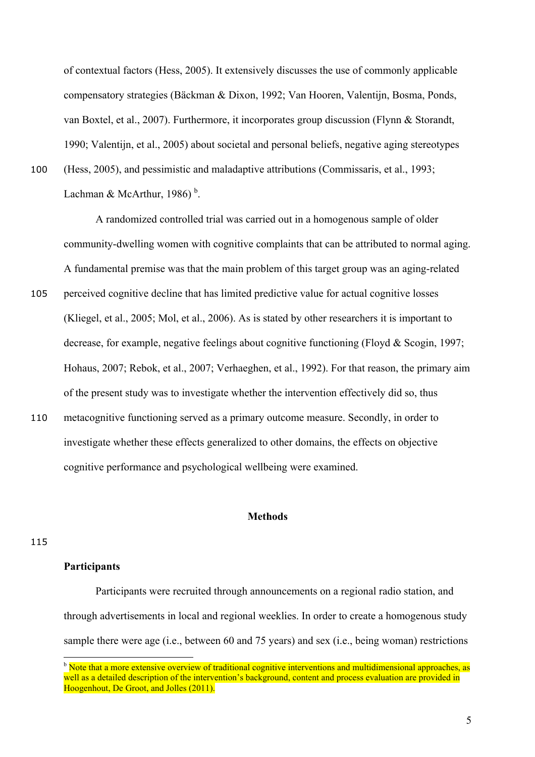of contextual factors (Hess, 2005). It extensively discusses the use of commonly applicable compensatory strategies (Bäckman & Dixon, 1992; Van Hooren, Valentijn, Bosma, Ponds, van Boxtel, et al., 2007). Furthermore, it incorporates group discussion (Flynn & Storandt, 1990; Valentijn, et al., 2005) about societal and personal beliefs, negative aging stereotypes

100 (Hess, 2005), and pessimistic and maladaptive attributions (Commissaris, et al., 1993;

Lachman & McArthur, 1986)<sup>b</sup>.

A randomized controlled trial was carried out in a homogenous sample of older community-dwelling women with cognitive complaints that can be attributed to normal aging. A fundamental premise was that the main problem of this target group was an aging-related

- 105 perceived cognitive decline that has limited predictive value for actual cognitive losses (Kliegel, et al., 2005; Mol, et al., 2006). As is stated by other researchers it is important to decrease, for example, negative feelings about cognitive functioning (Floyd & Scogin, 1997; Hohaus, 2007; Rebok, et al., 2007; Verhaeghen, et al., 1992). For that reason, the primary aim of the present study was to investigate whether the intervention effectively did so, thus
- 110 metacognitive functioning served as a primary outcome measure. Secondly, in order to investigate whether these effects generalized to other domains, the effects on objective cognitive performance and psychological wellbeing were examined.

#### **Methods**

#### 115

### **Participants**

Participants were recruited through announcements on a regional radio station, and through advertisements in local and regional weeklies. In order to create a homogenous study sample there were age (i.e., between 60 and 75 years) and sex (i.e., being woman) restrictions

<sup>&</sup>lt;sup>b</sup> Note that a more extensive overview of traditional cognitive interventions and multidimensional approaches, as well as a detailed description of the intervention's background, content and process evaluation are provided in Hoogenhout, De Groot, and Jolles (2011).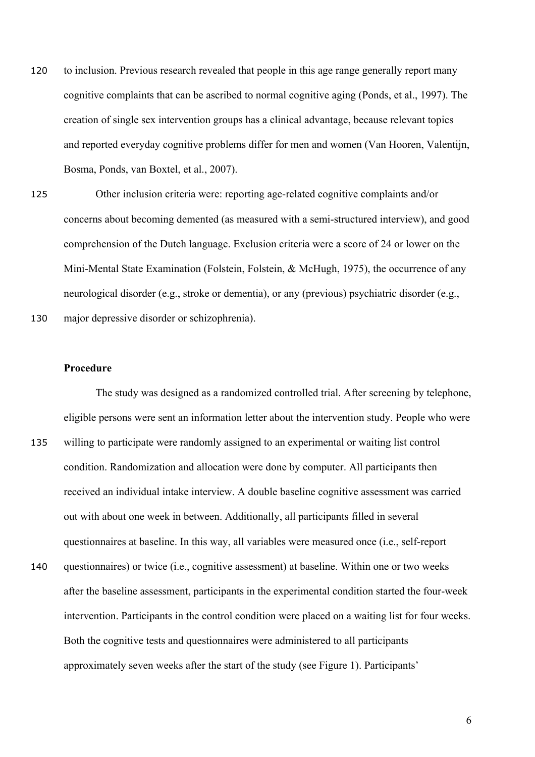- 120 to inclusion. Previous research revealed that people in this age range generally report many cognitive complaints that can be ascribed to normal cognitive aging (Ponds, et al., 1997). The creation of single sex intervention groups has a clinical advantage, because relevant topics and reported everyday cognitive problems differ for men and women (Van Hooren, Valentijn, Bosma, Ponds, van Boxtel, et al., 2007).
- 125 Other inclusion criteria were: reporting age-related cognitive complaints and/or concerns about becoming demented (as measured with a semi-structured interview), and good comprehension of the Dutch language. Exclusion criteria were a score of 24 or lower on the Mini-Mental State Examination (Folstein, Folstein, & McHugh, 1975), the occurrence of any neurological disorder (e.g., stroke or dementia), or any (previous) psychiatric disorder (e.g.,

130 major depressive disorder or schizophrenia).

#### **Procedure**

The study was designed as a randomized controlled trial. After screening by telephone, eligible persons were sent an information letter about the intervention study. People who were 135 willing to participate were randomly assigned to an experimental or waiting list control condition. Randomization and allocation were done by computer. All participants then received an individual intake interview. A double baseline cognitive assessment was carried out with about one week in between. Additionally, all participants filled in several questionnaires at baseline. In this way, all variables were measured once (i.e., self-report 140 questionnaires) or twice (i.e., cognitive assessment) at baseline. Within one or two weeks

after the baseline assessment, participants in the experimental condition started the four-week intervention. Participants in the control condition were placed on a waiting list for four weeks. Both the cognitive tests and questionnaires were administered to all participants approximately seven weeks after the start of the study (see Figure 1). Participants'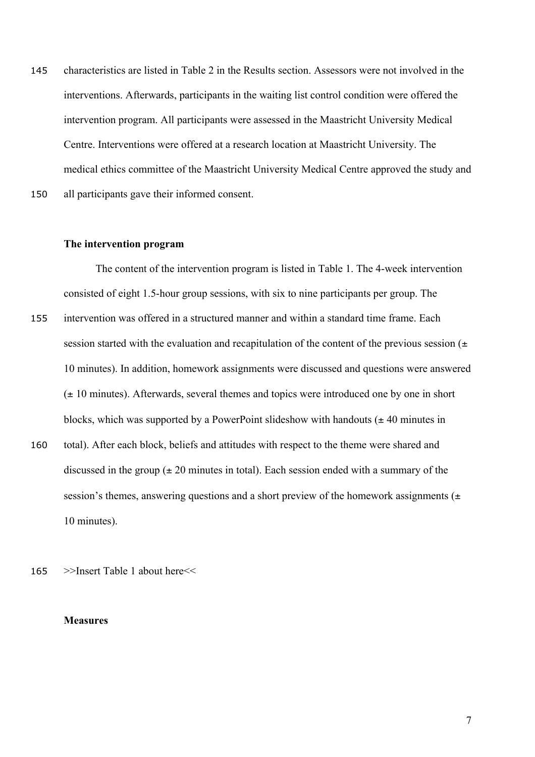145 characteristics are listed in Table 2 in the Results section. Assessors were not involved in the interventions. Afterwards, participants in the waiting list control condition were offered the intervention program. All participants were assessed in the Maastricht University Medical Centre. Interventions were offered at a research location at Maastricht University. The medical ethics committee of the Maastricht University Medical Centre approved the study and 150 all participants gave their informed consent.

#### **The intervention program**

The content of the intervention program is listed in Table 1. The 4-week intervention consisted of eight 1.5-hour group sessions, with six to nine participants per group. The 155 intervention was offered in a structured manner and within a standard time frame. Each session started with the evaluation and recapitulation of the content of the previous session  $(±)$ 10 minutes). In addition, homework assignments were discussed and questions were answered  $(\pm 10 \text{ minutes})$ . Afterwards, several themes and topics were introduced one by one in short blocks, which was supported by a PowerPoint slideshow with handouts  $(± 40$  minutes in

- 160 total). After each block, beliefs and attitudes with respect to the theme were shared and discussed in the group  $(\pm 20 \text{ minutes in total})$ . Each session ended with a summary of the session's themes, answering questions and a short preview of the homework assignments  $(±)$ 10 minutes).
- 165 >>Insert Table 1 about here<<

#### **Measures**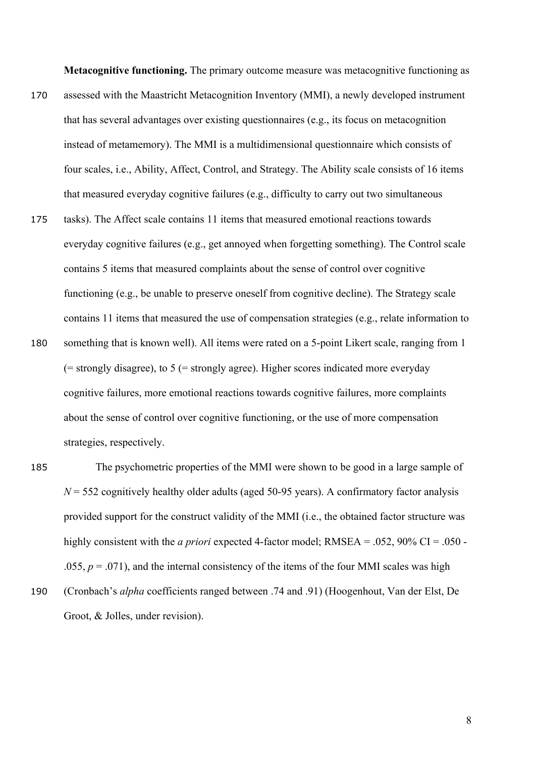**Metacognitive functioning.** The primary outcome measure was metacognitive functioning as

- 170 assessed with the Maastricht Metacognition Inventory (MMI), a newly developed instrument that has several advantages over existing questionnaires (e.g., its focus on metacognition instead of metamemory). The MMI is a multidimensional questionnaire which consists of four scales, i.e., Ability, Affect, Control, and Strategy. The Ability scale consists of 16 items that measured everyday cognitive failures (e.g., difficulty to carry out two simultaneous
- 175 tasks). The Affect scale contains 11 items that measured emotional reactions towards everyday cognitive failures (e.g., get annoyed when forgetting something). The Control scale contains 5 items that measured complaints about the sense of control over cognitive functioning (e.g., be unable to preserve oneself from cognitive decline). The Strategy scale contains 11 items that measured the use of compensation strategies (e.g., relate information to
- 180 something that is known well). All items were rated on a 5-point Likert scale, ranging from 1 (= strongly disagree), to 5 (= strongly agree). Higher scores indicated more everyday cognitive failures, more emotional reactions towards cognitive failures, more complaints about the sense of control over cognitive functioning, or the use of more compensation strategies, respectively.
- 185 The psychometric properties of the MMI were shown to be good in a large sample of  $N = 552$  cognitively healthy older adults (aged 50-95 years). A confirmatory factor analysis provided support for the construct validity of the MMI (i.e., the obtained factor structure was highly consistent with the *a priori* expected 4-factor model; RMSEA = .052, 90% CI = .050 -.055,  $p = .071$ ), and the internal consistency of the items of the four MMI scales was high
- 190 (Cronbach's *alpha* coefficients ranged between .74 and .91) (Hoogenhout, Van der Elst, De Groot, & Jolles, under revision).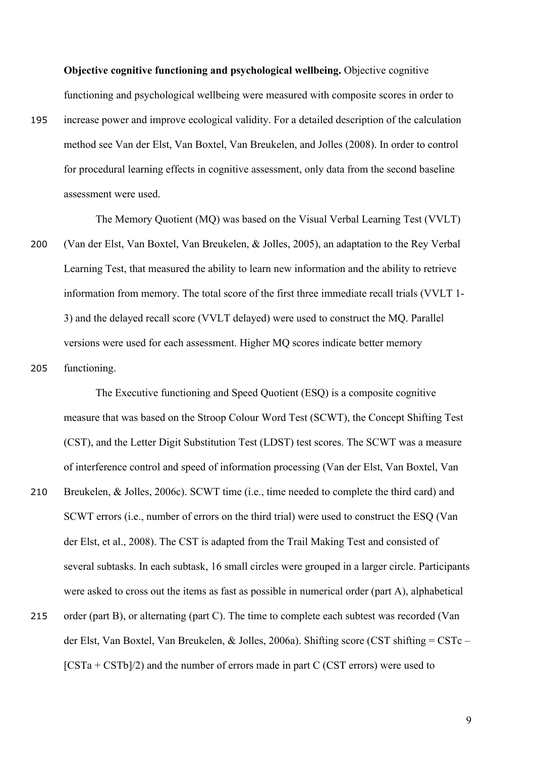**Objective cognitive functioning and psychological wellbeing.** Objective cognitive functioning and psychological wellbeing were measured with composite scores in order to

195 increase power and improve ecological validity. For a detailed description of the calculation method see Van der Elst, Van Boxtel, Van Breukelen, and Jolles (2008). In order to control for procedural learning effects in cognitive assessment, only data from the second baseline assessment were used.

The Memory Quotient (MQ) was based on the Visual Verbal Learning Test (VVLT) 200 (Van der Elst, Van Boxtel, Van Breukelen, & Jolles, 2005), an adaptation to the Rey Verbal Learning Test, that measured the ability to learn new information and the ability to retrieve information from memory. The total score of the first three immediate recall trials (VVLT 1- 3) and the delayed recall score (VVLT delayed) were used to construct the MQ. Parallel versions were used for each assessment. Higher MQ scores indicate better memory

205 functioning.

The Executive functioning and Speed Quotient (ESQ) is a composite cognitive measure that was based on the Stroop Colour Word Test (SCWT), the Concept Shifting Test (CST), and the Letter Digit Substitution Test (LDST) test scores. The SCWT was a measure of interference control and speed of information processing (Van der Elst, Van Boxtel, Van 210 Breukelen, & Jolles, 2006c). SCWT time (i.e., time needed to complete the third card) and SCWT errors (i.e., number of errors on the third trial) were used to construct the ESQ (Van der Elst, et al., 2008). The CST is adapted from the Trail Making Test and consisted of several subtasks. In each subtask, 16 small circles were grouped in a larger circle. Participants were asked to cross out the items as fast as possible in numerical order (part A), alphabetical 215 order (part B), or alternating (part C). The time to complete each subtest was recorded (Van der Elst, Van Boxtel, Van Breukelen, & Jolles, 2006a). Shifting score (CST shifting = CSTc –  $[CSTa + CSTb]/2$  and the number of errors made in part C (CST errors) were used to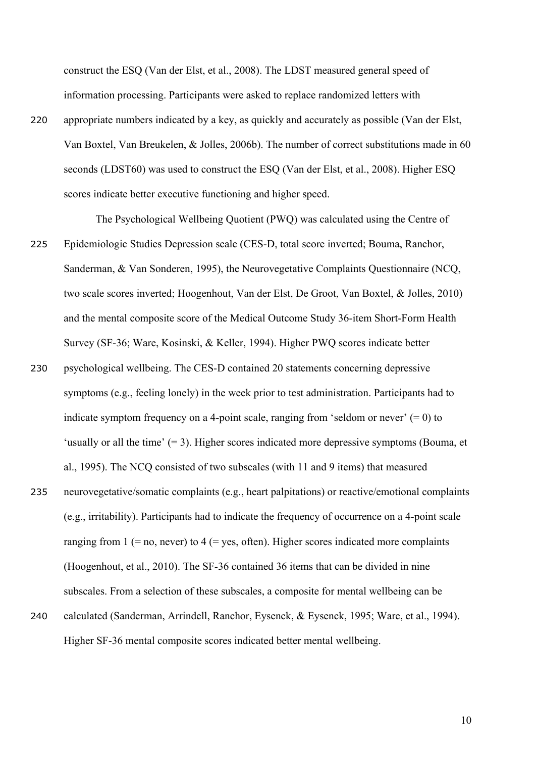construct the ESQ (Van der Elst, et al., 2008). The LDST measured general speed of information processing. Participants were asked to replace randomized letters with

220 appropriate numbers indicated by a key, as quickly and accurately as possible (Van der Elst, Van Boxtel, Van Breukelen, & Jolles, 2006b). The number of correct substitutions made in 60 seconds (LDST60) was used to construct the ESQ (Van der Elst, et al., 2008). Higher ESQ scores indicate better executive functioning and higher speed.

The Psychological Wellbeing Quotient (PWQ) was calculated using the Centre of

- 225 Epidemiologic Studies Depression scale (CES-D, total score inverted; Bouma, Ranchor, Sanderman, & Van Sonderen, 1995), the Neurovegetative Complaints Questionnaire (NCQ, two scale scores inverted; Hoogenhout, Van der Elst, De Groot, Van Boxtel, & Jolles, 2010) and the mental composite score of the Medical Outcome Study 36-item Short-Form Health Survey (SF-36; Ware, Kosinski, & Keller, 1994). Higher PWQ scores indicate better
- 230 psychological wellbeing. The CES-D contained 20 statements concerning depressive symptoms (e.g., feeling lonely) in the week prior to test administration. Participants had to indicate symptom frequency on a 4-point scale, ranging from 'seldom or never'  $(= 0)$  to 'usually or all the time'  $(= 3)$ . Higher scores indicated more depressive symptoms (Bouma, et al., 1995). The NCQ consisted of two subscales (with 11 and 9 items) that measured 235 neurovegetative/somatic complaints (e.g., heart palpitations) or reactive/emotional complaints (e.g., irritability). Participants had to indicate the frequency of occurrence on a 4-point scale ranging from  $1$  (= no, never) to  $4$  (= yes, often). Higher scores indicated more complaints (Hoogenhout, et al., 2010). The SF-36 contained 36 items that can be divided in nine subscales. From a selection of these subscales, a composite for mental wellbeing can be 240 calculated (Sanderman, Arrindell, Ranchor, Eysenck, & Eysenck, 1995; Ware, et al., 1994).
- Higher SF-36 mental composite scores indicated better mental wellbeing.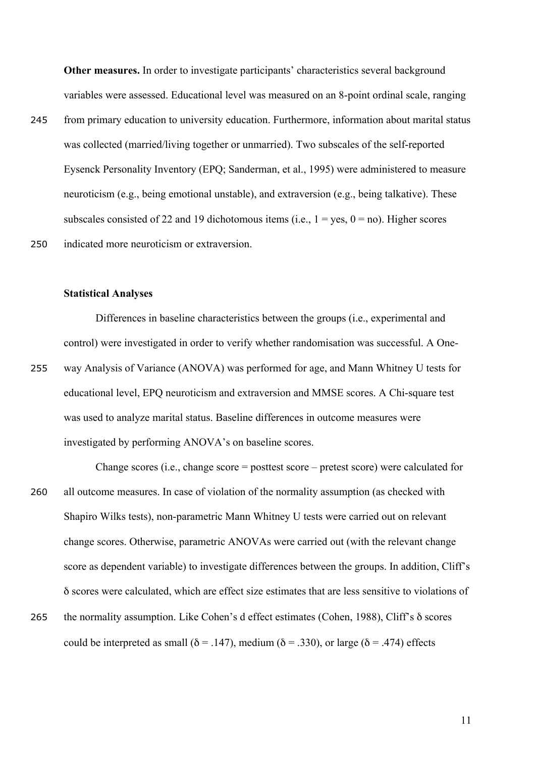**Other measures.** In order to investigate participants' characteristics several background variables were assessed. Educational level was measured on an 8-point ordinal scale, ranging

245 from primary education to university education. Furthermore, information about marital status was collected (married/living together or unmarried). Two subscales of the self-reported Eysenck Personality Inventory (EPQ; Sanderman, et al., 1995) were administered to measure neuroticism (e.g., being emotional unstable), and extraversion (e.g., being talkative). These subscales consisted of 22 and 19 dichotomous items (i.e.,  $1 = yes$ ,  $0 = no$ ). Higher scores 250 indicated more neuroticism or extraversion.

#### **Statistical Analyses**

Differences in baseline characteristics between the groups (i.e., experimental and control) were investigated in order to verify whether randomisation was successful. A One-255 way Analysis of Variance (ANOVA) was performed for age, and Mann Whitney U tests for educational level, EPQ neuroticism and extraversion and MMSE scores. A Chi-square test was used to analyze marital status. Baseline differences in outcome measures were investigated by performing ANOVA's on baseline scores.

- Change scores (i.e., change score = posttest score pretest score) were calculated for 260 all outcome measures. In case of violation of the normality assumption (as checked with Shapiro Wilks tests), non-parametric Mann Whitney U tests were carried out on relevant change scores. Otherwise, parametric ANOVAs were carried out (with the relevant change score as dependent variable) to investigate differences between the groups. In addition, Cliff's δ scores were calculated, which are effect size estimates that are less sensitive to violations of 265 the normality assumption. Like Cohen's d effect estimates (Cohen, 1988), Cliff's δ scores
- could be interpreted as small ( $\delta$  = .147), medium ( $\delta$  = .330), or large ( $\delta$  = .474) effects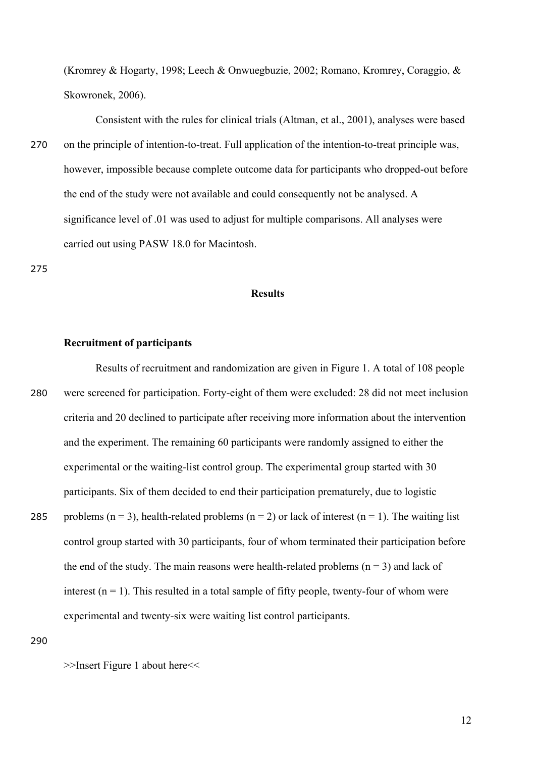(Kromrey & Hogarty, 1998; Leech & Onwuegbuzie, 2002; Romano, Kromrey, Coraggio, & Skowronek, 2006).

Consistent with the rules for clinical trials (Altman, et al., 2001), analyses were based 270 on the principle of intention-to-treat. Full application of the intention-to-treat principle was, however, impossible because complete outcome data for participants who dropped-out before the end of the study were not available and could consequently not be analysed. A significance level of .01 was used to adjust for multiple comparisons. All analyses were carried out using PASW 18.0 for Macintosh.

275

### **Results**

#### **Recruitment of participants**

Results of recruitment and randomization are given in Figure 1. A total of 108 people 280 were screened for participation. Forty-eight of them were excluded: 28 did not meet inclusion criteria and 20 declined to participate after receiving more information about the intervention and the experiment. The remaining 60 participants were randomly assigned to either the experimental or the waiting-list control group. The experimental group started with 30 participants. Six of them decided to end their participation prematurely, due to logistic 285 problems (n = 3), health-related problems (n = 2) or lack of interest (n = 1). The waiting list control group started with 30 participants, four of whom terminated their participation before the end of the study. The main reasons were health-related problems  $(n = 3)$  and lack of interest  $(n = 1)$ . This resulted in a total sample of fifty people, twenty-four of whom were

experimental and twenty-six were waiting list control participants.

290

>>Insert Figure 1 about here<<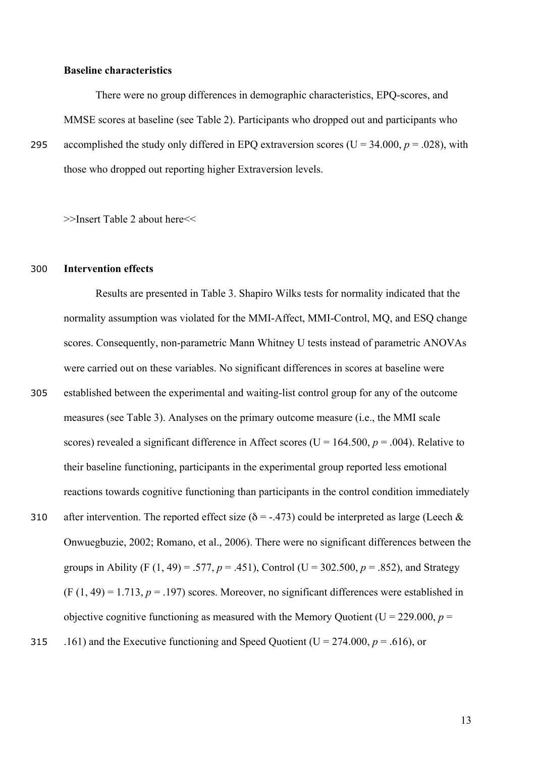#### **Baseline characteristics**

There were no group differences in demographic characteristics, EPQ-scores, and MMSE scores at baseline (see Table 2). Participants who dropped out and participants who 295 accomplished the study only differed in EPQ extraversion scores ( $U = 34.000$ ,  $p = .028$ ), with those who dropped out reporting higher Extraversion levels.

>>Insert Table 2 about here<<

#### 300 **Intervention effects**

Results are presented in Table 3. Shapiro Wilks tests for normality indicated that the normality assumption was violated for the MMI-Affect, MMI-Control, MQ, and ESQ change scores. Consequently, non-parametric Mann Whitney U tests instead of parametric ANOVAs were carried out on these variables. No significant differences in scores at baseline were

- 305 established between the experimental and waiting-list control group for any of the outcome measures (see Table 3). Analyses on the primary outcome measure (i.e., the MMI scale scores) revealed a significant difference in Affect scores ( $U = 164.500$ ,  $p = .004$ ). Relative to their baseline functioning, participants in the experimental group reported less emotional reactions towards cognitive functioning than participants in the control condition immediately 310 after intervention. The reported effect size ( $\delta$  = -.473) could be interpreted as large (Leech  $\&$
- Onwuegbuzie, 2002; Romano, et al., 2006). There were no significant differences between the groups in Ability (F (1, 49) = .577,  $p = .451$ ), Control (U = 302.500,  $p = .852$ ), and Strategy  $(F (1, 49) = 1.713, p = .197)$  scores. Moreover, no significant differences were established in objective cognitive functioning as measured with the Memory Quotient ( $U = 229.000$ ,  $p =$ 315 .161) and the Executive functioning and Speed Quotient ( $U = 274.000$ ,  $p = .616$ ), or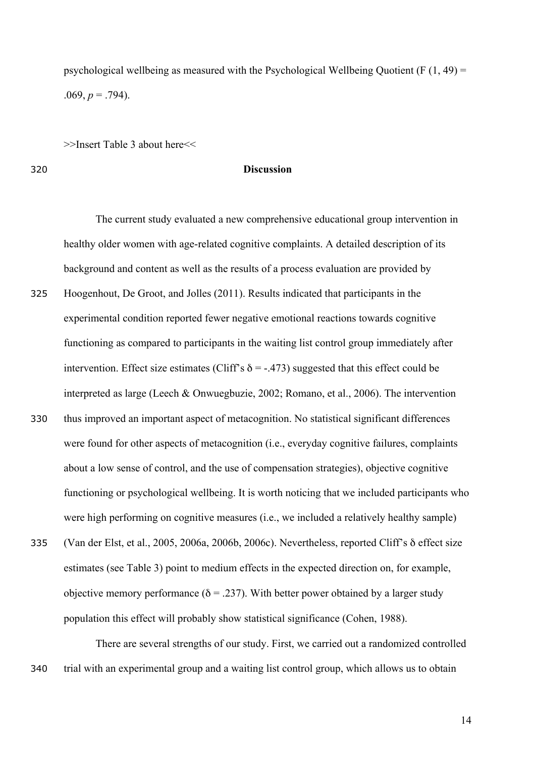psychological wellbeing as measured with the Psychological Wellbeing Quotient (F  $(1, 49)$  = .069,  $p = .794$ ).

>>Insert Table 3 about here<<

#### 320 **Discussion**

The current study evaluated a new comprehensive educational group intervention in healthy older women with age-related cognitive complaints. A detailed description of its background and content as well as the results of a process evaluation are provided by

- 325 Hoogenhout, De Groot, and Jolles (2011). Results indicated that participants in the experimental condition reported fewer negative emotional reactions towards cognitive functioning as compared to participants in the waiting list control group immediately after intervention. Effect size estimates (Cliff's  $\delta$  = -.473) suggested that this effect could be interpreted as large (Leech & Onwuegbuzie, 2002; Romano, et al., 2006). The intervention 330 thus improved an important aspect of metacognition. No statistical significant differences were found for other aspects of metacognition (i.e., everyday cognitive failures, complaints about a low sense of control, and the use of compensation strategies), objective cognitive functioning or psychological wellbeing. It is worth noticing that we included participants who were high performing on cognitive measures (i.e., we included a relatively healthy sample)
- 335 (Van der Elst, et al., 2005, 2006a, 2006b, 2006c). Nevertheless, reported Cliff's δ effect size estimates (see Table 3) point to medium effects in the expected direction on, for example, objective memory performance ( $\delta$  = .237). With better power obtained by a larger study population this effect will probably show statistical significance (Cohen, 1988).

There are several strengths of our study. First, we carried out a randomized controlled 340 trial with an experimental group and a waiting list control group, which allows us to obtain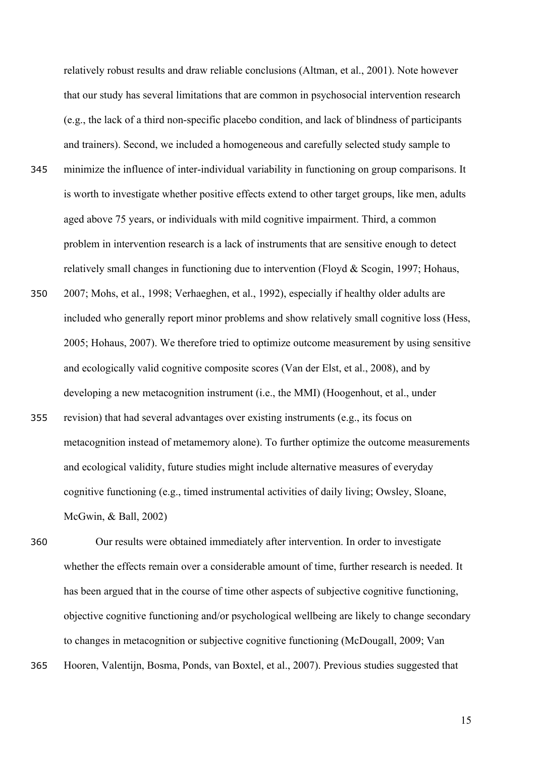relatively robust results and draw reliable conclusions (Altman, et al., 2001). Note however that our study has several limitations that are common in psychosocial intervention research (e.g., the lack of a third non-specific placebo condition, and lack of blindness of participants and trainers). Second, we included a homogeneous and carefully selected study sample to

- 345 minimize the influence of inter-individual variability in functioning on group comparisons. It is worth to investigate whether positive effects extend to other target groups, like men, adults aged above 75 years, or individuals with mild cognitive impairment. Third, a common problem in intervention research is a lack of instruments that are sensitive enough to detect relatively small changes in functioning due to intervention (Floyd & Scogin, 1997; Hohaus,
- 350 2007; Mohs, et al., 1998; Verhaeghen, et al., 1992), especially if healthy older adults are included who generally report minor problems and show relatively small cognitive loss (Hess, 2005; Hohaus, 2007). We therefore tried to optimize outcome measurement by using sensitive and ecologically valid cognitive composite scores (Van der Elst, et al., 2008), and by developing a new metacognition instrument (i.e., the MMI) (Hoogenhout, et al., under
- 355 revision) that had several advantages over existing instruments (e.g., its focus on metacognition instead of metamemory alone). To further optimize the outcome measurements and ecological validity, future studies might include alternative measures of everyday cognitive functioning (e.g., timed instrumental activities of daily living; Owsley, Sloane, McGwin, & Ball, 2002)

360 Our results were obtained immediately after intervention. In order to investigate whether the effects remain over a considerable amount of time, further research is needed. It has been argued that in the course of time other aspects of subjective cognitive functioning, objective cognitive functioning and/or psychological wellbeing are likely to change secondary to changes in metacognition or subjective cognitive functioning (McDougall, 2009; Van

365 Hooren, Valentijn, Bosma, Ponds, van Boxtel, et al., 2007). Previous studies suggested that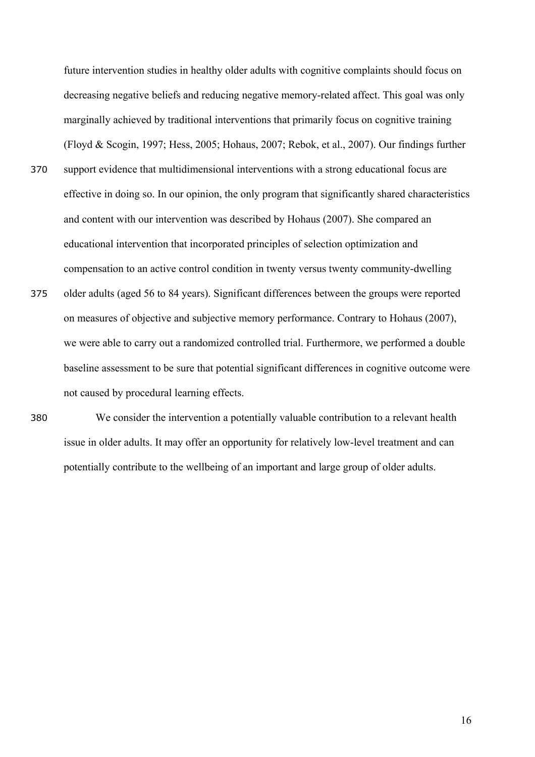future intervention studies in healthy older adults with cognitive complaints should focus on decreasing negative beliefs and reducing negative memory-related affect. This goal was only marginally achieved by traditional interventions that primarily focus on cognitive training (Floyd & Scogin, 1997; Hess, 2005; Hohaus, 2007; Rebok, et al., 2007). Our findings further

- 370 support evidence that multidimensional interventions with a strong educational focus are effective in doing so. In our opinion, the only program that significantly shared characteristics and content with our intervention was described by Hohaus (2007). She compared an educational intervention that incorporated principles of selection optimization and compensation to an active control condition in twenty versus twenty community-dwelling
- 375 older adults (aged 56 to 84 years). Significant differences between the groups were reported on measures of objective and subjective memory performance. Contrary to Hohaus (2007), we were able to carry out a randomized controlled trial. Furthermore, we performed a double baseline assessment to be sure that potential significant differences in cognitive outcome were not caused by procedural learning effects.
- 380 We consider the intervention a potentially valuable contribution to a relevant health issue in older adults. It may offer an opportunity for relatively low-level treatment and can potentially contribute to the wellbeing of an important and large group of older adults.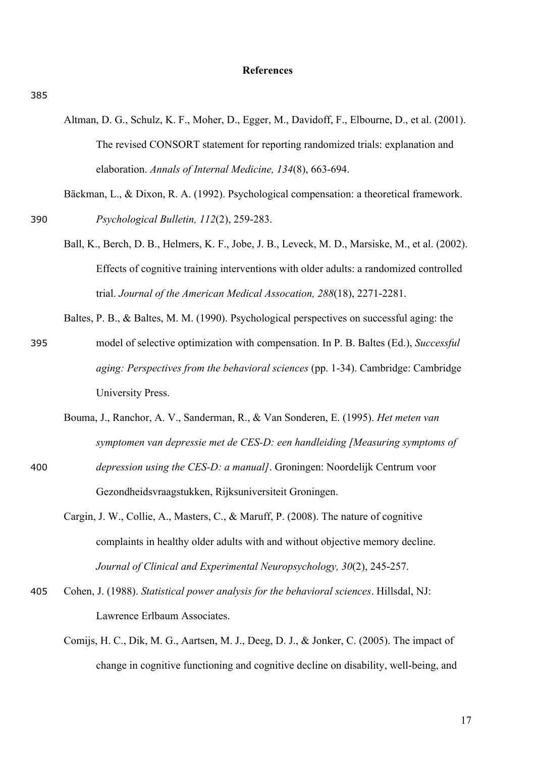#### **References**

- Altman, D. G., Schulz, K. F., Moher, D., Egger, M., Davidoff, F., Elbourne, D., et al. (2001). The revised CONSORT statement for reporting randomized trials: explanation and elaboration. *Annals of Internal Medicine, 134*(8), 663-694.
- Bäckman, L., & Dixon, R. A. (1992). Psychological compensation: a theoretical framework. 390 *Psychological Bulletin, 112*(2), 259-283.
	- Ball, K., Berch, D. B., Helmers, K. F., Jobe, J. B., Leveck, M. D., Marsiske, M., et al. (2002). Effects of cognitive training interventions with older adults: a randomized controlled trial. *Journal of the American Medical Assocation, 288*(18), 2271-2281.
	- Baltes, P. B., & Baltes, M. M. (1990). Psychological perspectives on successful aging: the
- 395 model of selective optimization with compensation. In P. B. Baltes (Ed.), *Successful aging: Perspectives from the behavioral sciences* (pp. 1-34). Cambridge: Cambridge University Press.
- Bouma, J., Ranchor, A. V., Sanderman, R., & Van Sonderen, E. (1995). *Het meten van symptomen van depressie met de CES-D: een handleiding [Measuring symptoms of*  400 *depression using the CES-D: a manual]*. Groningen: Noordelijk Centrum voor
	- Cargin, J. W., Collie, A., Masters, C., & Maruff, P. (2008). The nature of cognitive complaints in healthy older adults with and without objective memory decline. *Journal of Clinical and Experimental Neuropsychology, 30*(2), 245-257.
- 405 Cohen, J. (1988). *Statistical power analysis for the behavioral sciences*. Hillsdal, NJ: Lawrence Erlbaum Associates.

Gezondheidsvraagstukken, Rijksuniversiteit Groningen.

Comijs, H. C., Dik, M. G., Aartsen, M. J., Deeg, D. J., & Jonker, C. (2005). The impact of change in cognitive functioning and cognitive decline on disability, well-being, and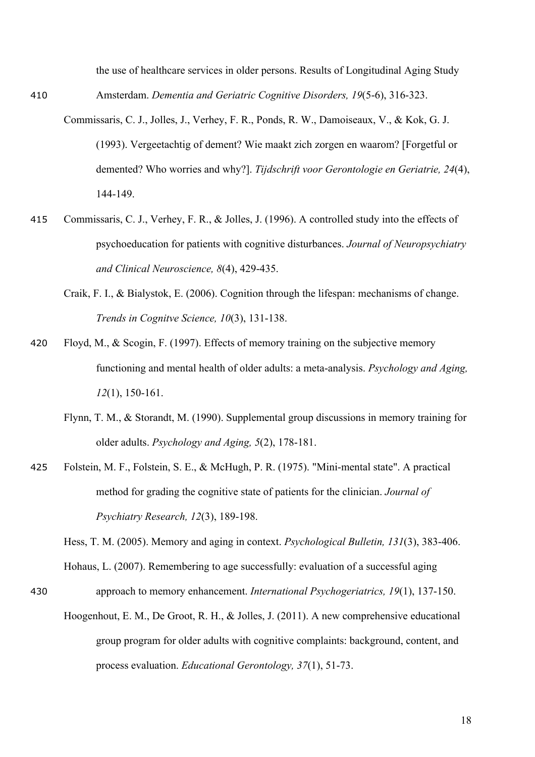the use of healthcare services in older persons. Results of Longitudinal Aging Study 410 Amsterdam. *Dementia and Geriatric Cognitive Disorders, 19*(5-6), 316-323.

- Commissaris, C. J., Jolles, J., Verhey, F. R., Ponds, R. W., Damoiseaux, V., & Kok, G. J. (1993). Vergeetachtig of dement? Wie maakt zich zorgen en waarom? [Forgetful or demented? Who worries and why?]. *Tijdschrift voor Gerontologie en Geriatrie, 24*(4), 144-149.
- 415 Commissaris, C. J., Verhey, F. R., & Jolles, J. (1996). A controlled study into the effects of psychoeducation for patients with cognitive disturbances. *Journal of Neuropsychiatry and Clinical Neuroscience, 8*(4), 429-435.
	- Craik, F. I., & Bialystok, E. (2006). Cognition through the lifespan: mechanisms of change. *Trends in Cognitve Science, 10*(3), 131-138.
- 420 Floyd, M., & Scogin, F. (1997). Effects of memory training on the subjective memory functioning and mental health of older adults: a meta-analysis. *Psychology and Aging, 12*(1), 150-161.
	- Flynn, T. M., & Storandt, M. (1990). Supplemental group discussions in memory training for older adults. *Psychology and Aging, 5*(2), 178-181.
- 425 Folstein, M. F., Folstein, S. E., & McHugh, P. R. (1975). "Mini-mental state". A practical method for grading the cognitive state of patients for the clinician. *Journal of Psychiatry Research, 12*(3), 189-198.

Hess, T. M. (2005). Memory and aging in context. *Psychological Bulletin, 131*(3), 383-406.

Hohaus, L. (2007). Remembering to age successfully: evaluation of a successful aging

- 430 approach to memory enhancement. *International Psychogeriatrics, 19*(1), 137-150.
	- Hoogenhout, E. M., De Groot, R. H., & Jolles, J. (2011). A new comprehensive educational group program for older adults with cognitive complaints: background, content, and process evaluation. *Educational Gerontology, 37*(1), 51-73.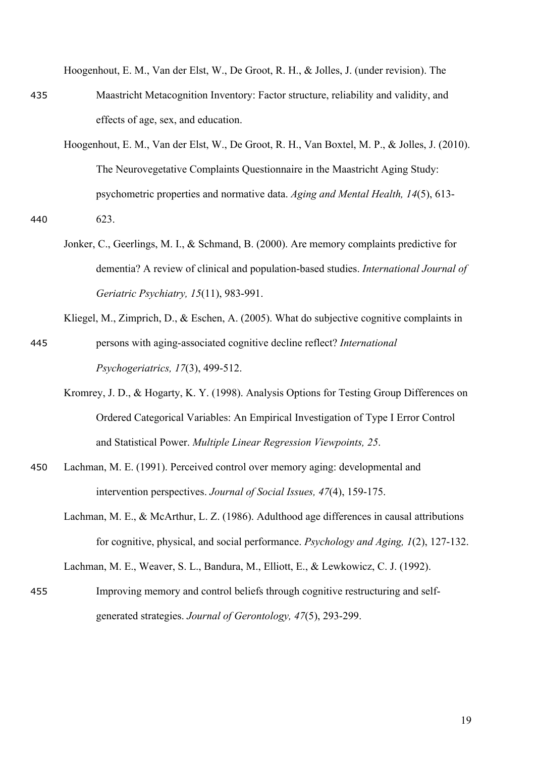Hoogenhout, E. M., Van der Elst, W., De Groot, R. H., & Jolles, J. (under revision). The

- 435 Maastricht Metacognition Inventory: Factor structure, reliability and validity, and effects of age, sex, and education.
- Hoogenhout, E. M., Van der Elst, W., De Groot, R. H., Van Boxtel, M. P., & Jolles, J. (2010). The Neurovegetative Complaints Questionnaire in the Maastricht Aging Study: psychometric properties and normative data. *Aging and Mental Health, 14*(5), 613- 440 623.
	- Jonker, C., Geerlings, M. I., & Schmand, B. (2000). Are memory complaints predictive for dementia? A review of clinical and population-based studies. *International Journal of Geriatric Psychiatry, 15*(11), 983-991.
- Kliegel, M., Zimprich, D., & Eschen, A. (2005). What do subjective cognitive complaints in 445 persons with aging-associated cognitive decline reflect? *International Psychogeriatrics, 17*(3), 499-512.
	- Kromrey, J. D., & Hogarty, K. Y. (1998). Analysis Options for Testing Group Differences on Ordered Categorical Variables: An Empirical Investigation of Type I Error Control and Statistical Power. *Multiple Linear Regression Viewpoints, 25*.
- 450 Lachman, M. E. (1991). Perceived control over memory aging: developmental and intervention perspectives. *Journal of Social Issues, 47*(4), 159-175.
	- Lachman, M. E., & McArthur, L. Z. (1986). Adulthood age differences in causal attributions for cognitive, physical, and social performance. *Psychology and Aging, 1*(2), 127-132.

Lachman, M. E., Weaver, S. L., Bandura, M., Elliott, E., & Lewkowicz, C. J. (1992).

455 Improving memory and control beliefs through cognitive restructuring and selfgenerated strategies. *Journal of Gerontology, 47*(5), 293-299.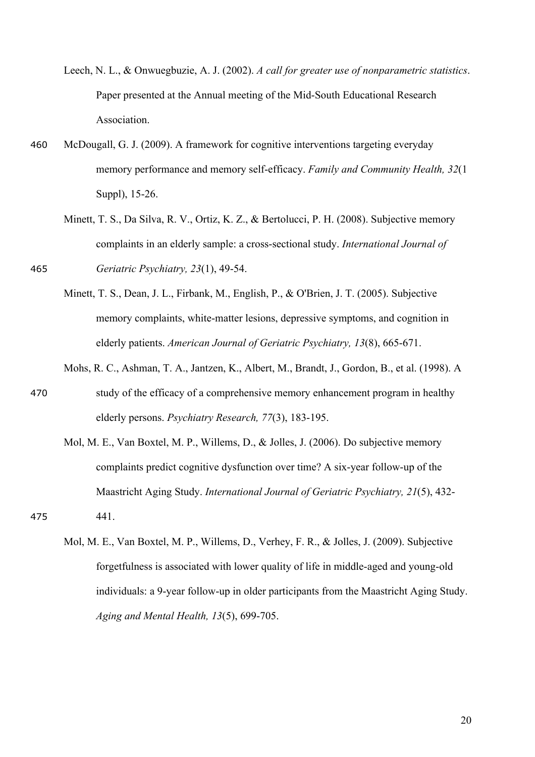- Leech, N. L., & Onwuegbuzie, A. J. (2002). *A call for greater use of nonparametric statistics*. Paper presented at the Annual meeting of the Mid-South Educational Research Association.
- 460 McDougall, G. J. (2009). A framework for cognitive interventions targeting everyday memory performance and memory self-efficacy. *Family and Community Health, 32*(1 Suppl), 15-26.
- Minett, T. S., Da Silva, R. V., Ortiz, K. Z., & Bertolucci, P. H. (2008). Subjective memory complaints in an elderly sample: a cross-sectional study. *International Journal of*  465 *Geriatric Psychiatry, 23*(1), 49-54.
	- Minett, T. S., Dean, J. L., Firbank, M., English, P., & O'Brien, J. T. (2005). Subjective memory complaints, white-matter lesions, depressive symptoms, and cognition in elderly patients. *American Journal of Geriatric Psychiatry, 13*(8), 665-671.
- Mohs, R. C., Ashman, T. A., Jantzen, K., Albert, M., Brandt, J., Gordon, B., et al. (1998). A 470 study of the efficacy of a comprehensive memory enhancement program in healthy elderly persons. *Psychiatry Research, 77*(3), 183-195.
- Mol, M. E., Van Boxtel, M. P., Willems, D., & Jolles, J. (2006). Do subjective memory complaints predict cognitive dysfunction over time? A six-year follow-up of the Maastricht Aging Study. *International Journal of Geriatric Psychiatry, 21*(5), 432- 475 441.
	- Mol, M. E., Van Boxtel, M. P., Willems, D., Verhey, F. R., & Jolles, J. (2009). Subjective forgetfulness is associated with lower quality of life in middle-aged and young-old individuals: a 9-year follow-up in older participants from the Maastricht Aging Study. *Aging and Mental Health, 13*(5), 699-705.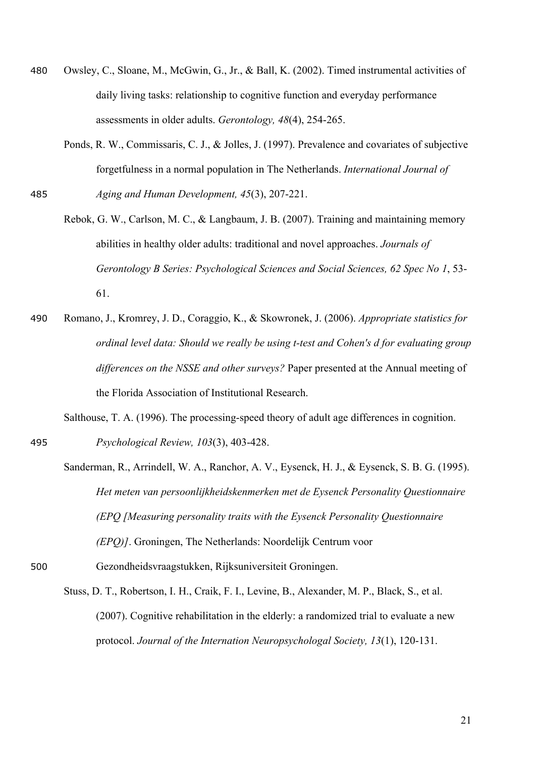- 480 Owsley, C., Sloane, M., McGwin, G., Jr., & Ball, K. (2002). Timed instrumental activities of daily living tasks: relationship to cognitive function and everyday performance assessments in older adults. *Gerontology, 48*(4), 254-265.
- Ponds, R. W., Commissaris, C. J., & Jolles, J. (1997). Prevalence and covariates of subjective forgetfulness in a normal population in The Netherlands. *International Journal of*  485 *Aging and Human Development, 45*(3), 207-221.
	- Rebok, G. W., Carlson, M. C., & Langbaum, J. B. (2007). Training and maintaining memory abilities in healthy older adults: traditional and novel approaches. *Journals of Gerontology B Series: Psychological Sciences and Social Sciences, 62 Spec No 1*, 53- 61.
- 490 Romano, J., Kromrey, J. D., Coraggio, K., & Skowronek, J. (2006). *Appropriate statistics for ordinal level data: Should we really be using t-test and Cohen's d for evaluating group differences on the NSSE and other surveys?* Paper presented at the Annual meeting of the Florida Association of Institutional Research.

Salthouse, T. A. (1996). The processing-speed theory of adult age differences in cognition.

495 *Psychological Review, 103*(3), 403-428.

- Sanderman, R., Arrindell, W. A., Ranchor, A. V., Eysenck, H. J., & Eysenck, S. B. G. (1995). *Het meten van persoonlijkheidskenmerken met de Eysenck Personality Questionnaire (EPQ [Measuring personality traits with the Eysenck Personality Questionnaire (EPQ)]*. Groningen, The Netherlands: Noordelijk Centrum voor
- 500 Gezondheidsvraagstukken, Rijksuniversiteit Groningen.
	- Stuss, D. T., Robertson, I. H., Craik, F. I., Levine, B., Alexander, M. P., Black, S., et al. (2007). Cognitive rehabilitation in the elderly: a randomized trial to evaluate a new protocol. *Journal of the Internation Neuropsychologal Society, 13*(1), 120-131.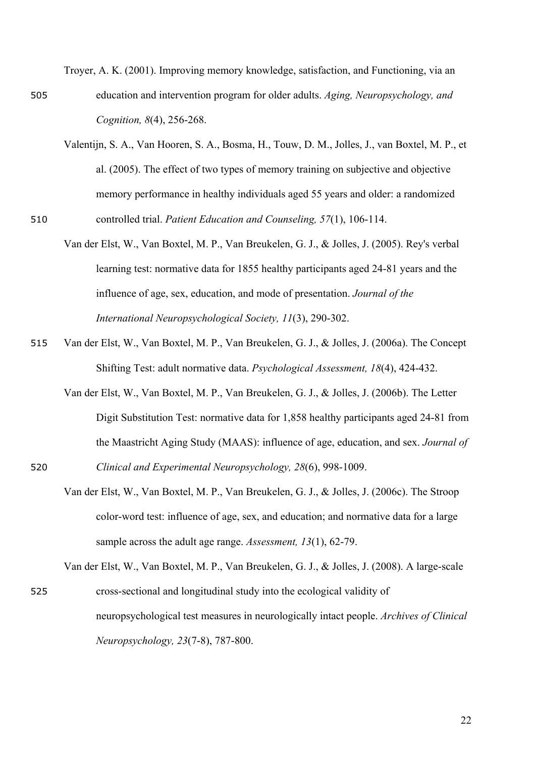Troyer, A. K. (2001). Improving memory knowledge, satisfaction, and Functioning, via an 505 education and intervention program for older adults. *Aging, Neuropsychology, and Cognition, 8*(4), 256-268.

- Valentijn, S. A., Van Hooren, S. A., Bosma, H., Touw, D. M., Jolles, J., van Boxtel, M. P., et al. (2005). The effect of two types of memory training on subjective and objective memory performance in healthy individuals aged 55 years and older: a randomized
- 510 controlled trial. *Patient Education and Counseling, 57*(1), 106-114.
	- Van der Elst, W., Van Boxtel, M. P., Van Breukelen, G. J., & Jolles, J. (2005). Rey's verbal learning test: normative data for 1855 healthy participants aged 24-81 years and the influence of age, sex, education, and mode of presentation. *Journal of the International Neuropsychological Society, 11*(3), 290-302.
- 515 Van der Elst, W., Van Boxtel, M. P., Van Breukelen, G. J., & Jolles, J. (2006a). The Concept Shifting Test: adult normative data. *Psychological Assessment, 18*(4), 424-432.
- Van der Elst, W., Van Boxtel, M. P., Van Breukelen, G. J., & Jolles, J. (2006b). The Letter Digit Substitution Test: normative data for 1,858 healthy participants aged 24-81 from the Maastricht Aging Study (MAAS): influence of age, education, and sex. *Journal of*  520 *Clinical and Experimental Neuropsychology, 28*(6), 998-1009.
	- Van der Elst, W., Van Boxtel, M. P., Van Breukelen, G. J., & Jolles, J. (2006c). The Stroop color-word test: influence of age, sex, and education; and normative data for a large sample across the adult age range. *Assessment, 13*(1), 62-79.

Van der Elst, W., Van Boxtel, M. P., Van Breukelen, G. J., & Jolles, J. (2008). A large-scale 525 cross-sectional and longitudinal study into the ecological validity of neuropsychological test measures in neurologically intact people. *Archives of Clinical Neuropsychology, 23*(7-8), 787-800.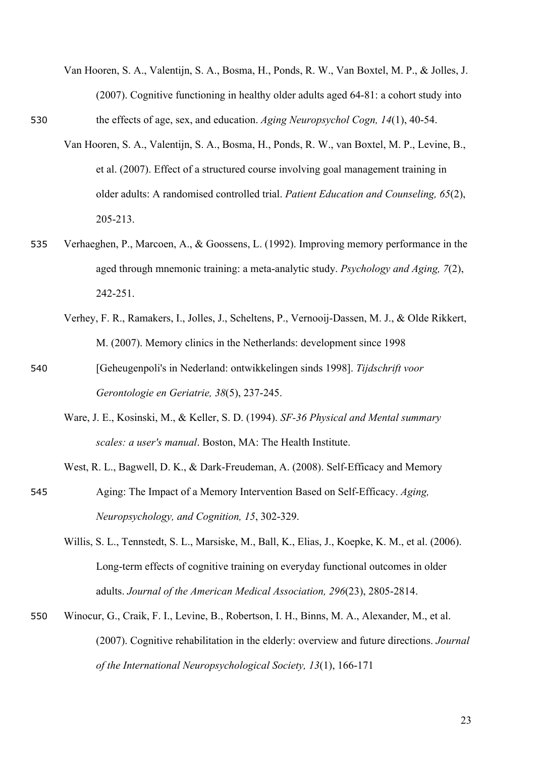- Van Hooren, S. A., Valentijn, S. A., Bosma, H., Ponds, R. W., Van Boxtel, M. P., & Jolles, J. (2007). Cognitive functioning in healthy older adults aged 64-81: a cohort study into 530 the effects of age, sex, and education. *Aging Neuropsychol Cogn, 14*(1), 40-54.
	- Van Hooren, S. A., Valentijn, S. A., Bosma, H., Ponds, R. W., van Boxtel, M. P., Levine, B., et al. (2007). Effect of a structured course involving goal management training in older adults: A randomised controlled trial. *Patient Education and Counseling, 65*(2), 205-213.
- 535 Verhaeghen, P., Marcoen, A., & Goossens, L. (1992). Improving memory performance in the aged through mnemonic training: a meta-analytic study. *Psychology and Aging, 7*(2), 242-251.
	- Verhey, F. R., Ramakers, I., Jolles, J., Scheltens, P., Vernooij-Dassen, M. J., & Olde Rikkert, M. (2007). Memory clinics in the Netherlands: development since 1998
- 540 [Geheugenpoli's in Nederland: ontwikkelingen sinds 1998]. *Tijdschrift voor Gerontologie en Geriatrie, 38*(5), 237-245.
	- Ware, J. E., Kosinski, M., & Keller, S. D. (1994). *SF-36 Physical and Mental summary scales: a user's manual*. Boston, MA: The Health Institute.
- West, R. L., Bagwell, D. K., & Dark-Freudeman, A. (2008). Self-Efficacy and Memory 545 Aging: The Impact of a Memory Intervention Based on Self-Efficacy. *Aging, Neuropsychology, and Cognition, 15*, 302-329.
	- Willis, S. L., Tennstedt, S. L., Marsiske, M., Ball, K., Elias, J., Koepke, K. M., et al. (2006). Long-term effects of cognitive training on everyday functional outcomes in older adults. *Journal of the American Medical Association, 296*(23), 2805-2814.
- 550 Winocur, G., Craik, F. I., Levine, B., Robertson, I. H., Binns, M. A., Alexander, M., et al. (2007). Cognitive rehabilitation in the elderly: overview and future directions. *Journal of the International Neuropsychological Society, 13*(1), 166-171